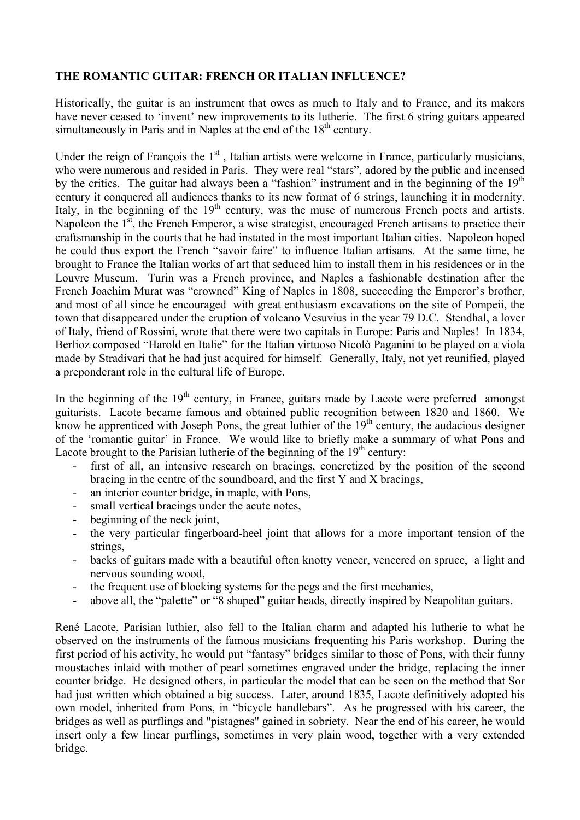## **THE ROMANTIC GUITAR: FRENCH OR ITALIAN INFLUENCE?**

Historically, the guitar is an instrument that owes as much to Italy and to France, and its makers have never ceased to 'invent' new improvements to its lutherie. The first 6 string guitars appeared simultaneously in Paris and in Naples at the end of the  $18<sup>th</sup>$  century.

Under the reign of François the  $1<sup>st</sup>$ , Italian artists were welcome in France, particularly musicians, who were numerous and resided in Paris. They were real "stars", adored by the public and incensed by the critics. The guitar had always been a "fashion" instrument and in the beginning of the  $19<sup>th</sup>$ century it conquered all audiences thanks to its new format of 6 strings, launching it in modernity. Italy, in the beginning of the  $19<sup>th</sup>$  century, was the muse of numerous French poets and artists. Napoleon the  $1<sup>st</sup>$ , the French Emperor, a wise strategist, encouraged French artisans to practice their craftsmanship in the courts that he had instated in the most important Italian cities. Napoleon hoped he could thus export the French "savoir faire" to influence Italian artisans. At the same time, he brought to France the Italian works of art that seduced him to install them in his residences or in the Louvre Museum. Turin was a French province, and Naples a fashionable destination after the French Joachim Murat was "crowned" King of Naples in 1808, succeeding the Emperor's brother, and most of all since he encouraged with great enthusiasm excavations on the site of Pompeii, the town that disappeared under the eruption of volcano Vesuvius in the year 79 D.C. Stendhal, a lover of Italy, friend of Rossini, wrote that there were two capitals in Europe: Paris and Naples! In 1834, Berlioz composed "Harold en Italie" for the Italian virtuoso Nicolò Paganini to be played on a viola made by Stradivari that he had just acquired for himself. Generally, Italy, not yet reunified, played a preponderant role in the cultural life of Europe.

In the beginning of the  $19<sup>th</sup>$  century, in France, guitars made by Lacote were preferred amongst guitarists. Lacote became famous and obtained public recognition between 1820 and 1860. We know he apprenticed with Joseph Pons, the great luthier of the  $19<sup>th</sup>$  century, the audacious designer of the 'romantic guitar' in France. We would like to briefly make a summary of what Pons and Lacote brought to the Parisian lutherie of the beginning of the  $19<sup>th</sup>$  century:

- first of all, an intensive research on bracings, concretized by the position of the second bracing in the centre of the soundboard, and the first Y and X bracings,
- an interior counter bridge, in maple, with Pons,
- small vertical bracings under the acute notes,
- beginning of the neck joint,
- the very particular fingerboard-heel joint that allows for a more important tension of the strings,
- backs of guitars made with a beautiful often knotty veneer, veneered on spruce, a light and nervous sounding wood,
- the frequent use of blocking systems for the pegs and the first mechanics,
- above all, the "palette" or "8 shaped" guitar heads, directly inspired by Neapolitan guitars.

René Lacote, Parisian luthier, also fell to the Italian charm and adapted his lutherie to what he observed on the instruments of the famous musicians frequenting his Paris workshop. During the first period of his activity, he would put "fantasy" bridges similar to those of Pons, with their funny moustaches inlaid with mother of pearl sometimes engraved under the bridge, replacing the inner counter bridge. He designed others, in particular the model that can be seen on the method that Sor had just written which obtained a big success. Later, around 1835, Lacote definitively adopted his own model, inherited from Pons, in "bicycle handlebars". As he progressed with his career, the bridges as well as purflings and "pistagnes" gained in sobriety. Near the end of his career, he would insert only a few linear purflings, sometimes in very plain wood, together with a very extended bridge.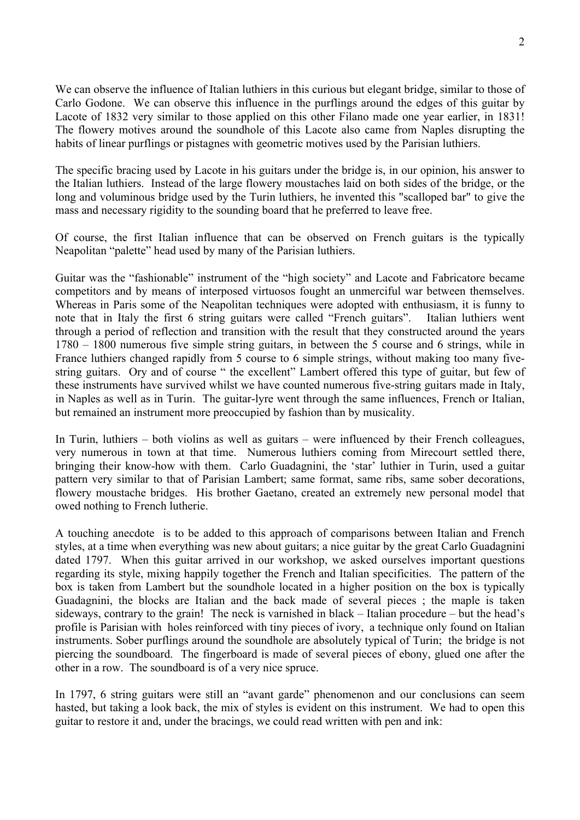We can observe the influence of Italian luthiers in this curious but elegant bridge, similar to those of Carlo Godone. We can observe this influence in the purflings around the edges of this guitar by Lacote of 1832 very similar to those applied on this other Filano made one year earlier, in 1831! The flowery motives around the soundhole of this Lacote also came from Naples disrupting the habits of linear purflings or pistagnes with geometric motives used by the Parisian luthiers.

The specific bracing used by Lacote in his guitars under the bridge is, in our opinion, his answer to the Italian luthiers. Instead of the large flowery moustaches laid on both sides of the bridge, or the long and voluminous bridge used by the Turin luthiers, he invented this "scalloped bar" to give the mass and necessary rigidity to the sounding board that he preferred to leave free.

Of course, the first Italian influence that can be observed on French guitars is the typically Neapolitan "palette" head used by many of the Parisian luthiers.

Guitar was the "fashionable" instrument of the "high society" and Lacote and Fabricatore became competitors and by means of interposed virtuosos fought an unmerciful war between themselves. Whereas in Paris some of the Neapolitan techniques were adopted with enthusiasm, it is funny to note that in Italy the first 6 string guitars were called "French guitars". Italian luthiers went through a period of reflection and transition with the result that they constructed around the years 1780 – 1800 numerous five simple string guitars, in between the 5 course and 6 strings, while in France luthiers changed rapidly from 5 course to 6 simple strings, without making too many fivestring guitars. Ory and of course " the excellent" Lambert offered this type of guitar, but few of these instruments have survived whilst we have counted numerous five-string guitars made in Italy, in Naples as well as in Turin. The guitar-lyre went through the same influences, French or Italian, but remained an instrument more preoccupied by fashion than by musicality.

In Turin, luthiers – both violins as well as guitars – were influenced by their French colleagues, very numerous in town at that time. Numerous luthiers coming from Mirecourt settled there, bringing their know-how with them. Carlo Guadagnini, the 'star' luthier in Turin, used a guitar pattern very similar to that of Parisian Lambert; same format, same ribs, same sober decorations, flowery moustache bridges. His brother Gaetano, created an extremely new personal model that owed nothing to French lutherie.

A touching anecdote is to be added to this approach of comparisons between Italian and French styles, at a time when everything was new about guitars; a nice guitar by the great Carlo Guadagnini dated 1797. When this guitar arrived in our workshop, we asked ourselves important questions regarding its style, mixing happily together the French and Italian specificities. The pattern of the box is taken from Lambert but the soundhole located in a higher position on the box is typically Guadagnini, the blocks are Italian and the back made of several pieces ; the maple is taken sideways, contrary to the grain! The neck is varnished in black – Italian procedure – but the head's profile is Parisian with holes reinforced with tiny pieces of ivory, a technique only found on Italian instruments. Sober purflings around the soundhole are absolutely typical of Turin; the bridge is not piercing the soundboard. The fingerboard is made of several pieces of ebony, glued one after the other in a row. The soundboard is of a very nice spruce.

In 1797, 6 string guitars were still an "avant garde" phenomenon and our conclusions can seem hasted, but taking a look back, the mix of styles is evident on this instrument. We had to open this guitar to restore it and, under the bracings, we could read written with pen and ink: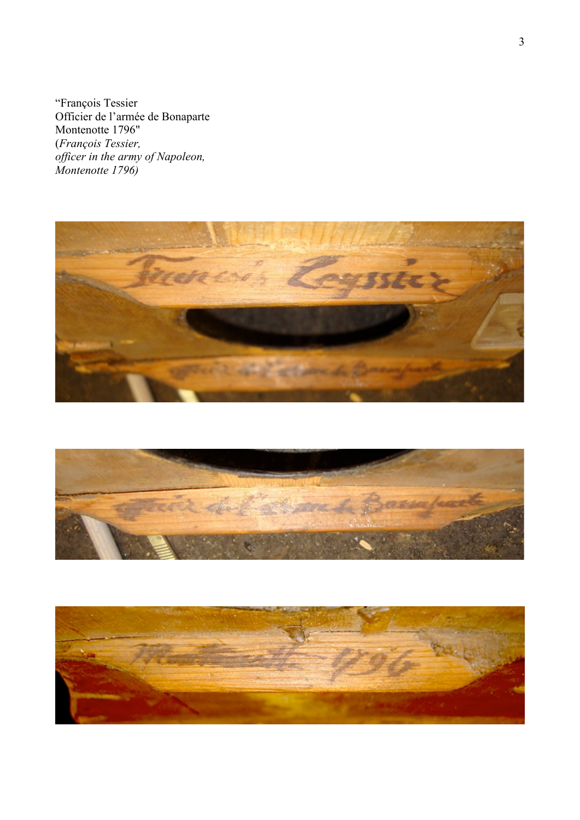"François Tessier Officier de l'armée de Bonaparte<br>Montenotte 1796" Montenotte 1796" (*François Tessier, officer in the army of Napoleon, Montenotte 1796)* 





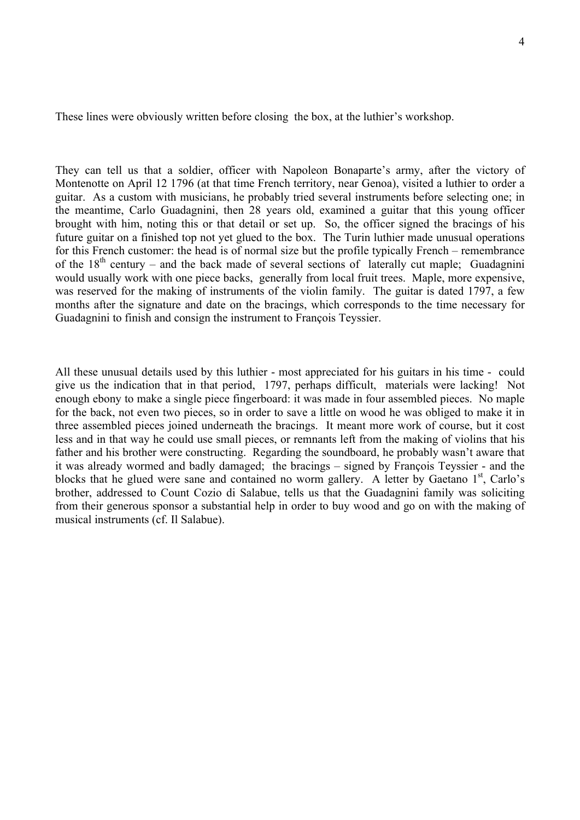These lines were obviously written before closing the box, at the luthier's workshop.

They can tell us that a soldier, officer with Napoleon Bonaparte's army, after the victory of Montenotte on April 12 1796 (at that time French territory, near Genoa), visited a luthier to order a guitar. As a custom with musicians, he probably tried several instruments before selecting one; in the meantime, Carlo Guadagnini, then 28 years old, examined a guitar that this young officer brought with him, noting this or that detail or set up. So, the officer signed the bracings of his future guitar on a finished top not yet glued to the box. The Turin luthier made unusual operations for this French customer: the head is of normal size but the profile typically French – remembrance of the  $18<sup>th</sup>$  century – and the back made of several sections of laterally cut maple; Guadagnini would usually work with one piece backs, generally from local fruit trees. Maple, more expensive, was reserved for the making of instruments of the violin family. The guitar is dated 1797, a few months after the signature and date on the bracings, which corresponds to the time necessary for Guadagnini to finish and consign the instrument to François Teyssier.

All these unusual details used by this luthier - most appreciated for his guitars in his time - could give us the indication that in that period, 1797, perhaps difficult, materials were lacking! Not enough ebony to make a single piece fingerboard: it was made in four assembled pieces. No maple for the back, not even two pieces, so in order to save a little on wood he was obliged to make it in three assembled pieces joined underneath the bracings. It meant more work of course, but it cost less and in that way he could use small pieces, or remnants left from the making of violins that his father and his brother were constructing. Regarding the soundboard, he probably wasn't aware that it was already wormed and badly damaged; the bracings – signed by François Teyssier - and the blocks that he glued were sane and contained no worm gallery. A letter by Gaetano  $1<sup>st</sup>$ , Carlo's brother, addressed to Count Cozio di Salabue, tells us that the Guadagnini family was soliciting from their generous sponsor a substantial help in order to buy wood and go on with the making of musical instruments (cf. Il Salabue).